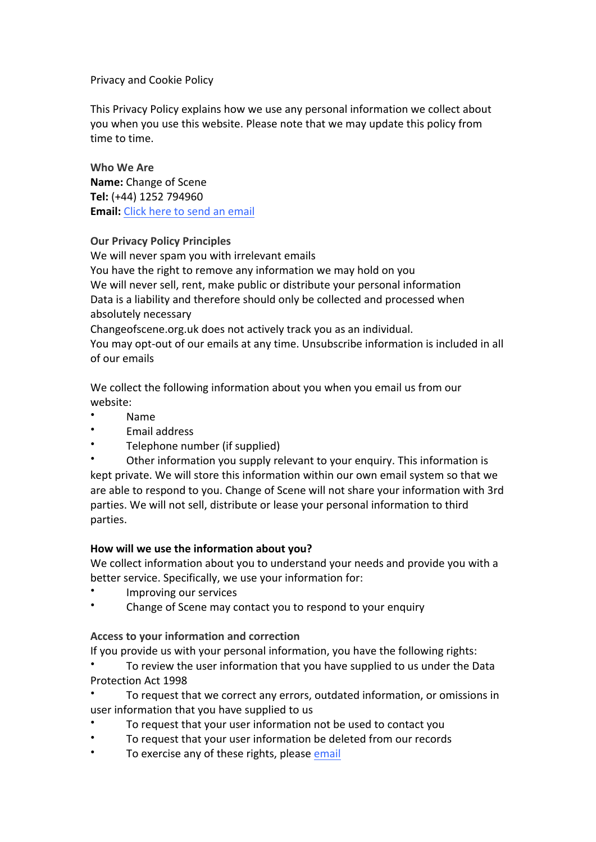## Privacy and Cookie Policy

This Privacy Policy explains how we use any personal information we collect about you when you use this website. Please note that we may update this policy from time to time.

**Who We Are Name:** Change of Scene **Tel:** (+44) 1252 794960 **Email:** Click here to send an email

### **Our Privacy Policy Principles**

We will never spam you with irrelevant emails You have the right to remove any information we may hold on you We will never sell, rent, make public or distribute your personal information Data is a liability and therefore should only be collected and processed when absolutely necessary

Changeofscene.org.uk does not actively track you as an individual.

You may opt-out of our emails at any time. Unsubscribe information is included in all of our emails

We collect the following information about you when you email us from our website:

- Name
- Email address
- Telephone number (if supplied)

Other information you supply relevant to your enquiry. This information is kept private. We will store this information within our own email system so that we are able to respond to you. Change of Scene will not share your information with 3rd parties. We will not sell, distribute or lease your personal information to third parties.

# **How will we use the information about you?**

We collect information about you to understand your needs and provide you with a better service. Specifically, we use your information for:

- Improving our services
- Change of Scene may contact you to respond to your enquiry

# **Access to your information and correction**

If you provide us with your personal information, you have the following rights:

To review the user information that you have supplied to us under the Data Protection Act 1998

To request that we correct any errors, outdated information, or omissions in user information that you have supplied to us

- To request that your user information not be used to contact you
- To request that your user information be deleted from our records
- To exercise any of these rights, please email